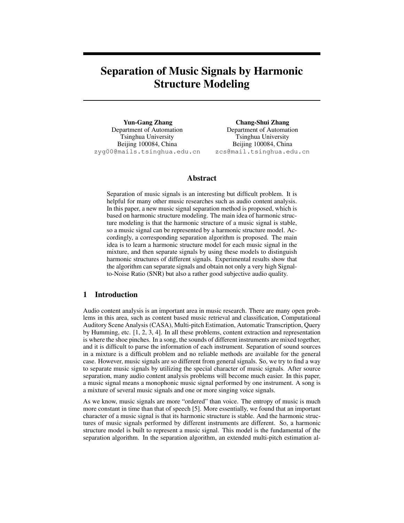# Separation of Music Signals by Harmonic Structure Modeling

Yun-Gang Zhang Department of Automation Tsinghua University Beijing 100084, China zyg00@mails.tsinghua.edu.cn

Chang-Shui Zhang Department of Automation Tsinghua University Beijing 100084, China zcs@mail.tsinghua.edu.cn

# Abstract

Separation of music signals is an interesting but difficult problem. It is helpful for many other music researches such as audio content analysis. In this paper, a new music signal separation method is proposed, which is based on harmonic structure modeling. The main idea of harmonic structure modeling is that the harmonic structure of a music signal is stable, so a music signal can be represented by a harmonic structure model. Accordingly, a corresponding separation algorithm is proposed. The main idea is to learn a harmonic structure model for each music signal in the mixture, and then separate signals by using these models to distinguish harmonic structures of different signals. Experimental results show that the algorithm can separate signals and obtain not only a very high Signalto-Noise Ratio (SNR) but also a rather good subjective audio quality.

# 1 Introduction

Audio content analysis is an important area in music research. There are many open problems in this area, such as content based music retrieval and classification, Computational Auditory Scene Analysis (CASA), Multi-pitch Estimation, Automatic Transcription, Query by Humming, etc. [1, 2, 3, 4]. In all these problems, content extraction and representation is where the shoe pinches. In a song, the sounds of different instruments are mixed together, and it is difficult to parse the information of each instrument. Separation of sound sources in a mixture is a difficult problem and no reliable methods are available for the general case. However, music signals are so different from general signals. So, we try to find a way to separate music signals by utilizing the special character of music signals. After source separation, many audio content analysis problems will become much easier. In this paper, a music signal means a monophonic music signal performed by one instrument. A song is a mixture of several music signals and one or more singing voice signals.

As we know, music signals are more "ordered" than voice. The entropy of music is much more constant in time than that of speech [5]. More essentially, we found that an important character of a music signal is that its harmonic structure is stable. And the harmonic structures of music signals performed by different instruments are different. So, a harmonic structure model is built to represent a music signal. This model is the fundamental of the separation algorithm. In the separation algorithm, an extended multi-pitch estimation al-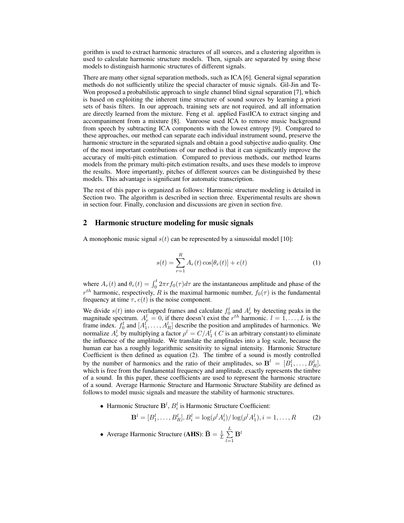gorithm is used to extract harmonic structures of all sources, and a clustering algorithm is used to calculate harmonic structure models. Then, signals are separated by using these models to distinguish harmonic structures of different signals.

There are many other signal separation methods, such as ICA [6]. General signal separation methods do not sufficiently utilize the special character of music signals. Gil-Jin and Te-Won proposed a probabilistic approach to single channel blind signal separation [7], which is based on exploiting the inherent time structure of sound sources by learning a priori sets of basis filters. In our approach, training sets are not required, and all information are directly learned from the mixture. Feng et al. applied FastICA to extract singing and accompaniment from a mixture [8]. Vanroose used ICA to remove music background from speech by subtracting ICA components with the lowest entropy [9]. Compared to these approaches, our method can separate each individual instrument sound, preserve the harmonic structure in the separated signals and obtain a good subjective audio quality. One of the most important contributions of our method is that it can significantly improve the accuracy of multi-pitch estimation. Compared to previous methods, our method learns models from the primary multi-pitch estimation results, and uses these models to improve the results. More importantly, pitches of different sources can be distinguished by these models. This advantage is significant for automatic transcription.

The rest of this paper is organized as follows: Harmonic structure modeling is detailed in Section two. The algorithm is described in section three. Experimental results are shown in section four. Finally, conclusion and discussions are given in section five.

#### 2 Harmonic structure modeling for music signals

A monophonic music signal  $s(t)$  can be represented by a sinusoidal model [10]:

$$
s(t) = \sum_{r=1}^{R} A_r(t) \cos[\theta_r(t)] + e(t)
$$
 (1)

where  $A_r(t)$  and  $\theta_r(t) = \int_0^t 2\pi r f_0(\tau) d\tau$  are the instantaneous amplitude and phase of the  $r^{th}$  harmonic, respectively, R is the maximal harmonic number,  $f_0(\tau)$  is the fundamental frequency at time  $\tau$ ,  $e(t)$  is the noise component.

We divide  $s(t)$  into overlapped frames and calculate  $f_0^l$  and  $A_r^l$  by detecting peaks in the magnitude spectrum.  $A_r^l = 0$ , if there doesn't exist the  $r^{th}$  harmonic.  $l = 1, ..., L$  is the frame index.  $f_0^l$  and  $[A_1^l, \ldots, A_R^l]$  describe the position and amplitudes of harmonics. We normalize  $A_r^l$  by multiplying a factor  $\rho^l = C/A_1^l$  ( C is an arbitrary constant) to eliminate the influence of the amplitude. We translate the amplitudes into a log scale, because the human ear has a roughly logarithmic sensitivity to signal intensity. Harmonic Structure Coefficient is then defined as equation (2). The timbre of a sound is mostly controlled by the number of harmonics and the ratio of their amplitudes, so  $\mathbf{B}^l = [B_1^l, \dots, B_R^l],$ which is free from the fundamental frequency and amplitude, exactly represents the timbre of a sound. In this paper, these coefficients are used to represent the harmonic structure of a sound. Average Harmonic Structure and Harmonic Structure Stability are defined as follows to model music signals and measure the stability of harmonic structures.

• Harmonic Structure  $\mathbf{B}^l$ ,  $B_i^l$  is Harmonic Structure Coefficient:

$$
\mathbf{B}^{l} = [B_{1}^{l}, \dots, B_{R}^{l}], B_{i}^{l} = \log(\rho^{l} A_{i}^{l}) / \log(\rho^{l} A_{1}^{l}), i = 1, \dots, R
$$
 (2)

• Average Harmonic Structure (AHS):  $\bar{\mathbf{B}} = \frac{1}{L}$  $\frac{1}{L}$  $\sum$  $\bar{l=1}$  $\mathbf{B}^l$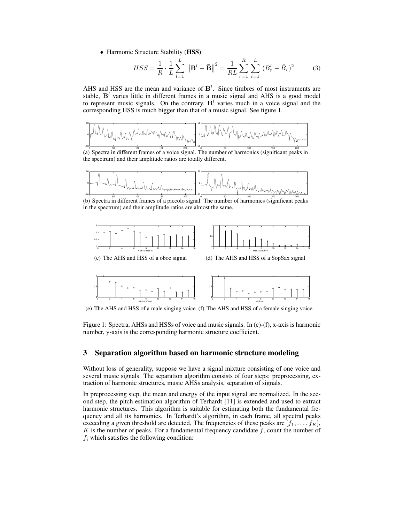• Harmonic Structure Stability (HSS):

$$
HSS = \frac{1}{R} \cdot \frac{1}{L} \sum_{l=1}^{L} \left\| \mathbf{B}^{l} - \bar{\mathbf{B}} \right\|^{2} = \frac{1}{RL} \sum_{r=1}^{R} \sum_{l=1}^{L} \left( B_{r}^{l} - \bar{B}_{r} \right)^{2} \tag{3}
$$

AHS and HSS are the mean and variance of  $B<sup>l</sup>$ . Since timbres of most instruments are stable,  $B<sup>l</sup>$  varies little in different frames in a music signal and AHS is a good model to represent music signals. On the contrary,  $B<sup>l</sup>$  varies much in a voice signal and the corresponding HSS is much bigger than that of a music signal. See figure 1.



(a) Spectra in different frames of a voice signal. The number of harmonics (significant peaks in the spectrum) and their amplitude ratios are totally different.



(b) Spectra in different frames of a piccolo signal. The number of harmonics (significant peaks in the spectrum) and their amplitude ratios are almost the same.





(e) The AHS and HSS of a male singing voice (f) The AHS and HSS of a female singing voice

Figure 1: Spectra, AHSs and HSSs of voice and music signals. In (c)-(f), x-axis is harmonic number, y-axis is the corresponding harmonic structure coefficient.

# 3 Separation algorithm based on harmonic structure modeling

Without loss of generality, suppose we have a signal mixture consisting of one voice and several music signals. The separation algorithm consists of four steps: preprocessing, extraction of harmonic structures, music AHSs analysis, separation of signals.

In preprocessing step, the mean and energy of the input signal are normalized. In the second step, the pitch estimation algorithm of Terhardt [11] is extended and used to extract harmonic structures. This algorithm is suitable for estimating both the fundamental frequency and all its harmonics. In Terhardt's algorithm, in each frame, all spectral peaks exceeding a given threshold are detected. The frequencies of these peaks are  $[f_1, \ldots, f_K]$ , K is the number of peaks. For a fundamental frequency candidate  $f$ , count the number of  $f_i$  which satisfies the following condition: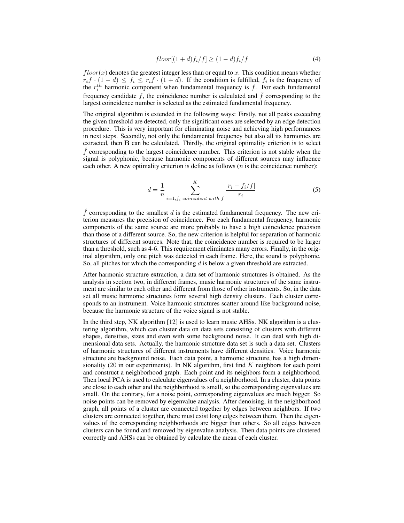$$
floor[(1+d)f_i/f] \ge (1-d)f_i/f \tag{4}
$$

 $floor(x)$  denotes the greatest integer less than or equal to x. This condition means whether  $r_i f \cdot (1 - d) \leq f_i \leq r_i f \cdot (1 + d)$ . If the condition is fulfilled,  $f_i$  is the frequency of the  $r_i^{th}$  harmonic component when fundamental frequency is f. For each fundamental frequency candidate f, the coincidence number is calculated and  $\hat{f}$  corresponding to the largest coincidence number is selected as the estimated fundamental frequency.

The original algorithm is extended in the following ways: Firstly, not all peaks exceeding the given threshold are detected, only the significant ones are selected by an edge detection procedure. This is very important for eliminating noise and achieving high performances in next steps. Secondly, not only the fundamental frequency but also all its harmonics are extracted, then B can be calculated. Thirdly, the original optimality criterion is to select  $\hat{f}$  corresponding to the largest coincidence number. This criterion is not stable when the signal is polyphonic, because harmonic components of different sources may influence each other. A new optimality criterion is define as follows  $(n$  is the coincidence number):

$$
d = \frac{1}{n} \sum_{i=1, f_i \text{ coincident with } f}^{K} \frac{|r_i - f_i/f|}{r_i}
$$
(5)

 $f$  corresponding to the smallest  $d$  is the estimated fundamental frequency. The new criterion measures the precision of coincidence. For each fundamental frequency, harmonic components of the same source are more probably to have a high coincidence precision than those of a different source. So, the new criterion is helpful for separation of harmonic structures of different sources. Note that, the coincidence number is required to be larger than a threshold, such as 4-6. This requirement eliminates many errors. Finally, in the original algorithm, only one pitch was detected in each frame. Here, the sound is polyphonic. So, all pitches for which the corresponding  $d$  is below a given threshold are extracted.

After harmonic structure extraction, a data set of harmonic structures is obtained. As the analysis in section two, in different frames, music harmonic structures of the same instrument are similar to each other and different from those of other instruments. So, in the data set all music harmonic structures form several high density clusters. Each cluster corresponds to an instrument. Voice harmonic structures scatter around like background noise, because the harmonic structure of the voice signal is not stable.

In the third step, NK algorithm [12] is used to learn music AHSs. NK algorithm is a clustering algorithm, which can cluster data on data sets consisting of clusters with different shapes, densities, sizes and even with some background noise. It can deal with high dimensional data sets. Actually, the harmonic structure data set is such a data set. Clusters of harmonic structures of different instruments have different densities. Voice harmonic structure are background noise. Each data point, a harmonic structure, has a high dimensionality (20 in our experiments). In NK algorithm, first find K neighbors for each point and construct a neighborhood graph. Each point and its neighbors form a neighborhood. Then local PCA is used to calculate eigenvalues of a neighborhood. In a cluster, data points are close to each other and the neighborhood is small, so the corresponding eigenvalues are small. On the contrary, for a noise point, corresponding eigenvalues are much bigger. So noise points can be removed by eigenvalue analysis. After denoising, in the neighborhood graph, all points of a cluster are connected together by edges between neighbors. If two clusters are connected together, there must exist long edges between them. Then the eigenvalues of the corresponding neighborhoods are bigger than others. So all edges between clusters can be found and removed by eigenvalue analysis. Then data points are clustered correctly and AHSs can be obtained by calculate the mean of each cluster.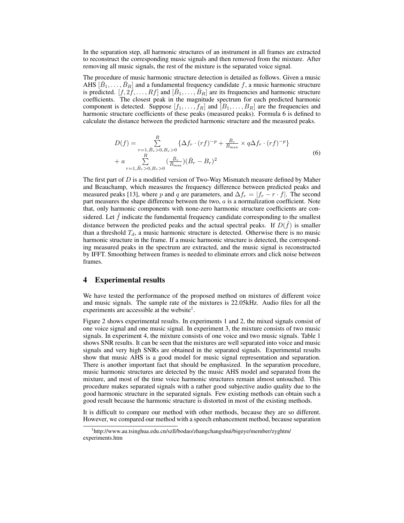In the separation step, all harmonic structures of an instrument in all frames are extracted to reconstruct the corresponding music signals and then removed from the mixture. After removing all music signals, the rest of the mixture is the separated voice signal.

The procedure of music harmonic structure detection is detailed as follows. Given a music AHS  $[\bar{B}_1, \ldots, \bar{B}_R]$  and a fundamental frequency candidate f, a music harmonic structure is predicted.  $[f, 2f, \ldots, Rf]$  and  $[\bar{B}_1, \ldots, \bar{B}_R]$  are its frequencies and harmonic structure coefficients. The closest peak in the magnitude spectrum for each predicted harmonic component is detected. Suppose  $[f_1, \ldots, f_R]$  and  $[B_1, \ldots, B_R]$  are the frequencies and harmonic structure coefficients of these peaks (measured peaks). Formula 6 is defined to calculate the distance between the predicted harmonic structure and the measured peaks.

$$
D(f) = \sum_{\substack{r=1, \bar{B}_r > 0, B_r > 0}}^R \{ \Delta f_r \cdot (rf)^{-p} + \frac{\bar{B}_r}{B_{\text{max}}} \times q \Delta f_r \cdot (rf)^{-p} \} + a \sum_{\substack{R \\ r=1, \bar{B}_r > 0, B_r > 0}}^R (\frac{\bar{B}_r}{\bar{B}_{\text{max}}}) (\bar{B}_r - B_r)^2
$$
\n(6)

The first part of D is a modified version of Two-Way Mismatch measure defined by Maher and Beauchamp, which measures the frequency difference between predicted peaks and measured peaks [13], where p and q are parameters, and  $\Delta f_r = |f_r - r \cdot f|$ . The second part measures the shape difference between the two,  $a$  is a normalization coefficient. Note that, only harmonic components with none-zero harmonic structure coefficients are considered. Let  $\tilde{f}$  indicate the fundamental frequency candidate corresponding to the smallest distance between the predicted peaks and the actual spectral peaks. If  $D(\hat{f})$  is smaller than a threshold  $T_d$ , a music harmonic structure is detected. Otherwise there is no music harmonic structure in the frame. If a music harmonic structure is detected, the corresponding measured peaks in the spectrum are extracted, and the music signal is reconstructed by IFFT. Smoothing between frames is needed to eliminate errors and click noise between frames.

# 4 Experimental results

We have tested the performance of the proposed method on mixtures of different voice and music signals. The sample rate of the mixtures is 22.05kHz. Audio files for all the experiments are accessible at the website $<sup>1</sup>$ .</sup>

Figure 2 shows experimental results. In experiments 1 and 2, the mixed signals consist of one voice signal and one music signal. In experiment 3, the mixture consists of two music signals. In experiment 4, the mixture consists of one voice and two music signals. Table 1 shows SNR results. It can be seen that the mixtures are well separated into voice and music signals and very high SNRs are obtained in the separated signals. Experimental results show that music AHS is a good model for music signal representation and separation. There is another important fact that should be emphasized. In the separation procedure, music harmonic structures are detected by the music AHS model and separated from the mixture, and most of the time voice harmonic structures remain almost untouched. This procedure makes separated signals with a rather good subjective audio quality due to the good harmonic structure in the separated signals. Few existing methods can obtain such a good result because the harmonic structure is distorted in most of the existing methods.

It is difficult to compare our method with other methods, because they are so different. However, we compared our method with a speech enhancement method, because separation

<sup>1</sup> http://www.au.tsinghua.edu.cn/szll/bodao/zhangchangshui/bigeye/member/zyghtm/ experiments.htm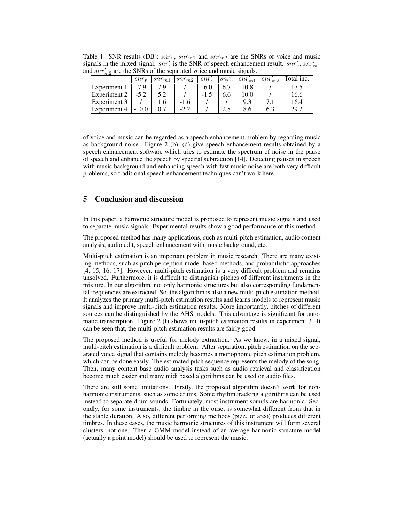| $a$ or $m_2$ are the states of the separated voice and maste signals. |         |            |        |      |     |      |     |                                                                                                                                                                                          |
|-----------------------------------------------------------------------|---------|------------|--------|------|-----|------|-----|------------------------------------------------------------------------------------------------------------------------------------------------------------------------------------------|
|                                                                       | $snr_v$ | $snr_{m1}$ |        |      |     |      |     | $\left\lceil snr_{m2} \right\rceil \left\lceil snr_{e}' \right\rceil \left\lceil snr_{w}' \right\rceil \left\lceil snr_{m1}' \right\rceil \left\lceil snr_{m2}' \right\rceil$ Total inc. |
| Experiment 1                                                          |         | 7.9        |        | -6.0 |     | 10.8 |     |                                                                                                                                                                                          |
| Experiment 2                                                          |         | 5.2        |        |      | 6.6 | 10.0 |     | 16.6                                                                                                                                                                                     |
| Experiment 3                                                          |         |            | $-1.6$ |      |     | 9.3  |     | 16.4                                                                                                                                                                                     |
| Experiment 4                                                          |         | 0.7        | $-2.2$ |      | 2.8 | 8.6  | 6.3 | 29.2                                                                                                                                                                                     |

Table 1: SNR results (DB):  $snr_v$ ,  $snr_{m1}$  and  $snr_{m2}$  are the SNRs of voice and music signals in the mixed signal.  $snr'_{e}$  is the SNR of speech enhancement result.  $snr'_{v}$ ,  $snr'_{m1}$ and  $snr'_{m2}$  are the SNRs of the separated voice and music signals.

of voice and music can be regarded as a speech enhancement problem by regarding music as background noise. Figure 2 (b), (d) give speech enhancement results obtained by a speech enhancement software which tries to estimate the spectrum of noise in the pause of speech and enhance the speech by spectral subtraction [14]. Detecting pauses in speech with music background and enhancing speech with fast music noise are both very difficult problems, so traditional speech enhancement techniques can't work here.

# 5 Conclusion and discussion

In this paper, a harmonic structure model is proposed to represent music signals and used to separate music signals. Experimental results show a good performance of this method.

The proposed method has many applications, such as multi-pitch estimation, audio content analysis, audio edit, speech enhancement with music background, etc.

Multi-pitch estimation is an important problem in music research. There are many existing methods, such as pitch perception model based methods, and probabilistic approaches [4, 15, 16, 17]. However, multi-pitch estimation is a very difficult problem and remains unsolved. Furthermore, it is difficult to distinguish pitches of different instruments in the mixture. In our algorithm, not only harmonic structures but also corresponding fundamental frequencies are extracted. So, the algorithm is also a new multi-pitch estimation method. It analyzes the primary multi-pitch estimation results and learns models to represent music signals and improve multi-pitch estimation results. More importantly, pitches of different sources can be distinguished by the AHS models. This advantage is significant for automatic transcription. Figure 2 (f) shows multi-pitch estimation results in experiment 3. It can be seen that, the multi-pitch estimation results are fairly good.

The proposed method is useful for melody extraction. As we know, in a mixed signal, multi-pitch estimation is a difficult problem. After separation, pitch estimation on the separated voice signal that contains melody becomes a monophonic pitch estimation problem, which can be done easily. The estimated pitch sequence represents the melody of the song. Then, many content base audio analysis tasks such as audio retrieval and classification become much easier and many midi based algorithms can be used on audio files.

There are still some limitations. Firstly, the proposed algorithm doesn't work for nonharmonic instruments, such as some drums. Some rhythm tracking algorithms can be used instead to separate drum sounds. Fortunately, most instrument sounds are harmonic. Secondly, for some instruments, the timbre in the onset is somewhat different from that in the stable duration. Also, different performing methods (pizz. or arco) produces different timbres. In these cases, the music harmonic structures of this instrument will form several clusters, not one. Then a GMM model instead of an average harmonic structure model (actually a point model) should be used to represent the music.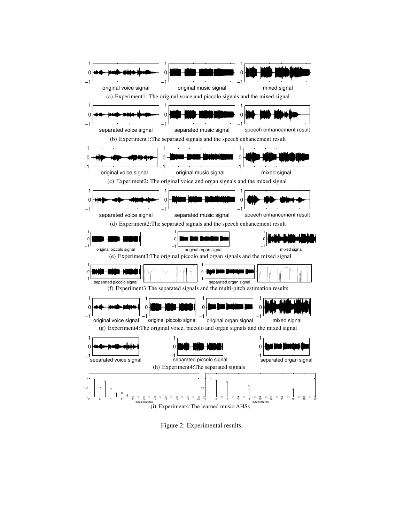

Figure 2: Experimental results.